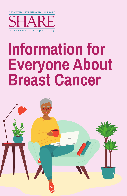

# **Information for Everyone About Breast Cancer**

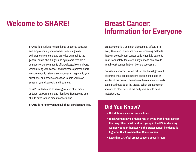#### **Welcome to SHARE! Breast Cancer:**

# **Information for Everyone**

SHARE is a national nonprofit that supports, educates, and empowers anyone who has been diagnosed with women's cancers, and provides outreach to the general public about signs and symptoms. We are a compassionate community of knowledgeable survivors, women living with cancer, and healthcare professionals. We are ready to listen to your concerns, respond to your questions, and provide education to help you make sense of your diagnosis and treatment.

SHARE is dedicated to serving women of all races, cultures, backgrounds, and identities. Because no one should have to face breast cancer alone.

**SHARE is here for you and all of our services are free.**

Breast cancer is a common disease that affects 1 in every 8 women. There are reliable screening methods that can detect breast cancer early when it is easier to treat. Fortunately, there are many options available to treat breast cancer that can be very successful.

Breast cancer occurs when cells in the breast grow out of control. Most breast cancers begin in the ducts or lobules of the breast. Sometimes these cancerous cells can spread outside of the breast. When breast cancer spreads to other parts of the body, it is said to have metastasized.

#### **Did You Know?**

- **• Not all breast cancer forms a lump.**
- **• Black women have a higher rate of dying from breast cancer than any other racial or ethnic group in the US. And among women younger than age 45, the breast cancer incidence is higher in Black women than White women.**
- **• Less than 1% of all breast cancers occur in men.**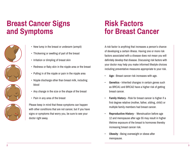## **Breast Cancer Signs and Symptoms**







- New lump in the breast or underarm (armpit)
- Thickening or swelling of part of the breast
- Irritation or dimpling of breast skin
- Redness or flaky skin in the nipple area or the breast
- Pulling in of the nipple or pain in the nipple area
- Nipple discharge other than breast milk, including blood
- Any change in the size or the shape of the breast
- Pain in any area of the breast

Please keep in mind that these symptoms can happen with other conditions that are not cancer, but if you have signs or symptoms that worry you, be sure to see your doctor right away.

#### **Risk Factors for Breast Cancer**

A risk factor is anything that increases a person's chance of developing a certain illness. Having one or more risk factors associated with a disease does not mean you will definitely develop that disease. Discussing risk factors with your doctor may help you make informed lifestyle choices including preventative measures appropriate to your risk.

- **Age**  Breast cancer risk increases with age.
- **Genetics** Inherited changes in certain genes such as BRCA1 and BRCA2 have a higher risk of getting breast cancer.
- **Family History** Risk for breast cancer is higher if a first degree relative (mother, father, sibling, child) or multiple family members had breast cancer.
- **Reproductive History** Menstruation before age 12 and menopause after age 55 may result in higher lifetime exposure of the breast to hormones thereby increasing breast cancer risk.
- **Obesity** Being overweight or obese after menopause.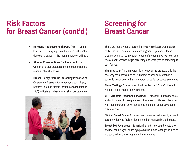#### **Risk Factors for Breast Cancer (cont'd)**

- **Hormone Replacement Therapy (HRT)**  Some forms of HRT may significantly increase the risk of developing cancer in the first 2-3 years of taking it.
- **Alcohol Consumption** Studies show that a woman's risk for breast cancer increases with the more alcohol she drinks.
- **Breast Biopsy Patterns Indicating Presence of Overactive Tissue** - Some benign breast biopsy patterns (such as "atypia" or "lobular carcinoma in situ") indicate a higher future risk of breast cancer.



## **Screening for Breast Cancer**

There are many types of screenings that help detect breast cancer early. The most common is a mammogram. If you have dense breasts, you may require another type of screening. Check with your doctor about when to begin screening and what type of screening is best for you.

**Mammogram** - A mammogram is an x-ray of the breast and is the best way for most women to find breast cancer early when it is easier to treat - before it is big enough to be felt or cause symptoms.

**Blood Testing** - A few cc's of blood can test for 30 or 40 different types of mutations for many cancers.

**MRI (Magnetic Resonance Imaging)** - A breast MRI uses magnets and radio waves to take pictures of the breast. MRIs are often used with mammograms for women who are at high risk for developing breast cancer.

**Clinical Breast Exam** - A clinical breast exam is performed by a health care provider who feels for lumps or other changes in the breasts.

**Breast Self-Awareness** - Being familiar with how your breasts look and feel can help you notice symptoms like lumps, changes in size of a breast, redness, swelling and other symptoms.